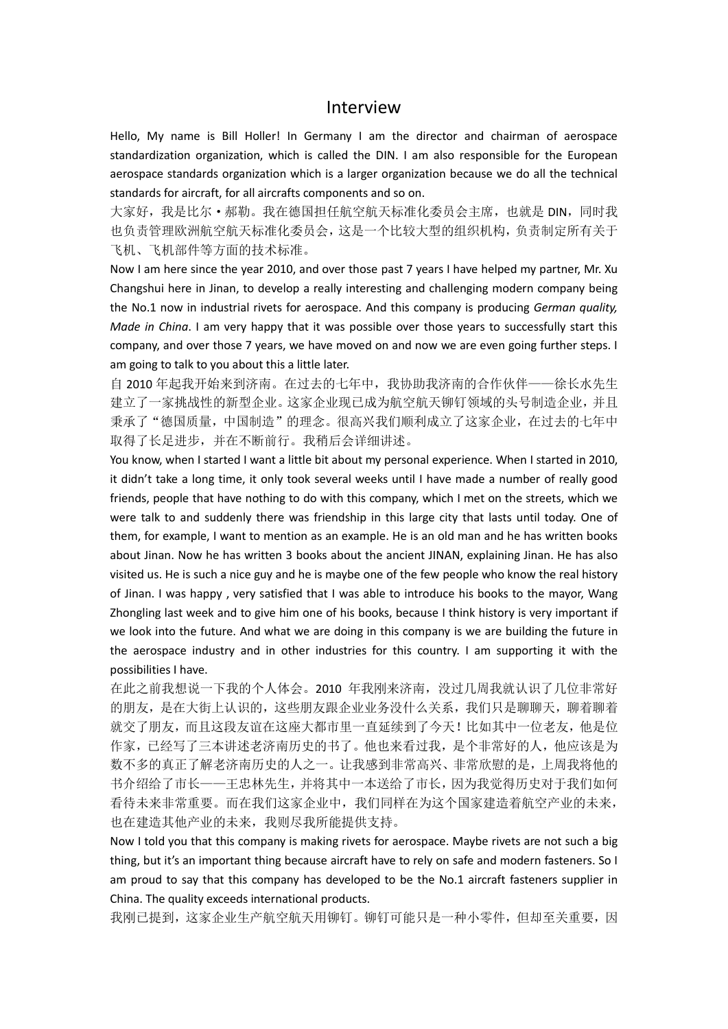## Interview

Hello, My name is Bill Holler! In Germany I am the director and chairman of aerospace standardization organization, which is called the DIN. I am also responsible for the European aerospace standards organization which is a larger organization because we do all the technical standards for aircraft, for all aircrafts components and so on.

大家好,我是比尔·郝勒。我在德国担任航空航天标准化委员会主席,也就是 DIN,同时我 也负责管理欧洲航空航天标准化委员会,这是一个比较大型的组织机构,负责制定所有关于 飞机、飞机部件等方面的技术标准。

Now I am here since the year 2010, and over those past 7 years I have helped my partner, Mr. Xu Changshui here in Jinan, to develop a really interesting and challenging modern company being the No.1 now in industrial rivets for aerospace. And this company is producing *German quality, Made in China*. I am very happy that it was possible over those years to successfully start this company, and over those 7 years, we have moved on and now we are even going further steps. I am going to talk to you about this a little later.

自 2010 年起我开始来到济南。在过去的七年中,我协助我济南的合作伙伴——徐长水先生 建立了一家挑战性的新型企业。这家企业现已成为航空航天铆钉领域的头号制造企业,并且 秉承了"德国质量,中国制造"的理念。很高兴我们顺利成立了这家企业,在过去的七年中 取得了长足进步,并在不断前行。我稍后会详细讲述。

You know, when I started I want a little bit about my personal experience. When I started in 2010, it didn't take a long time, it only took several weeks until I have made a number of really good friends, people that have nothing to do with this company, which I met on the streets, which we were talk to and suddenly there was friendship in this large city that lasts until today. One of them, for example, I want to mention as an example. He is an old man and he has written books about Jinan. Now he has written 3 books about the ancient JINAN, explaining Jinan. He has also visited us. He is such a nice guy and he is maybe one of the few people who know the real history of Jinan. I was happy , very satisfied that I was able to introduce his books to the mayor, Wang Zhongling last week and to give him one of his books, because I think history is very important if we look into the future. And what we are doing in this company is we are building the future in the aerospace industry and in other industries for this country. I am supporting it with the possibilities I have.

在此之前我想说一下我的个人体会。2010 年我刚来济南,没过几周我就认识了几位非常好 的朋友,是在大街上认识的,这些朋友跟企业业务没什么关系,我们只是聊聊天,聊着聊着 就交了朋友,而且这段友谊在这座大都市里一直延续到了今天!比如其中一位老友,他是位 作家,已经写了三本讲述老济南历史的书了。他也来看过我,是个非常好的人,他应该是为 数不多的真正了解老济南历史的人之一。让我感到非常高兴、非常欣慰的是,上周我将他的 书介绍给了市长——王忠林先生,并将其中一本送给了市长,因为我觉得历史对于我们如何 看待未来非常重要。而在我们这家企业中,我们同样在为这个国家建造着航空产业的未来, 也在建造其他产业的未来,我则尽我所能提供支持。

Now I told you that this company is making rivets for aerospace. Maybe rivets are not such a big thing, but it's an important thing because aircraft have to rely on safe and modern fasteners. So I am proud to say that this company has developed to be the No.1 aircraft fasteners supplier in China. The quality exceeds international products.

我刚已提到,这家企业生产航空航天用铆钉。铆钉可能只是一种小零件,但却至关重要,因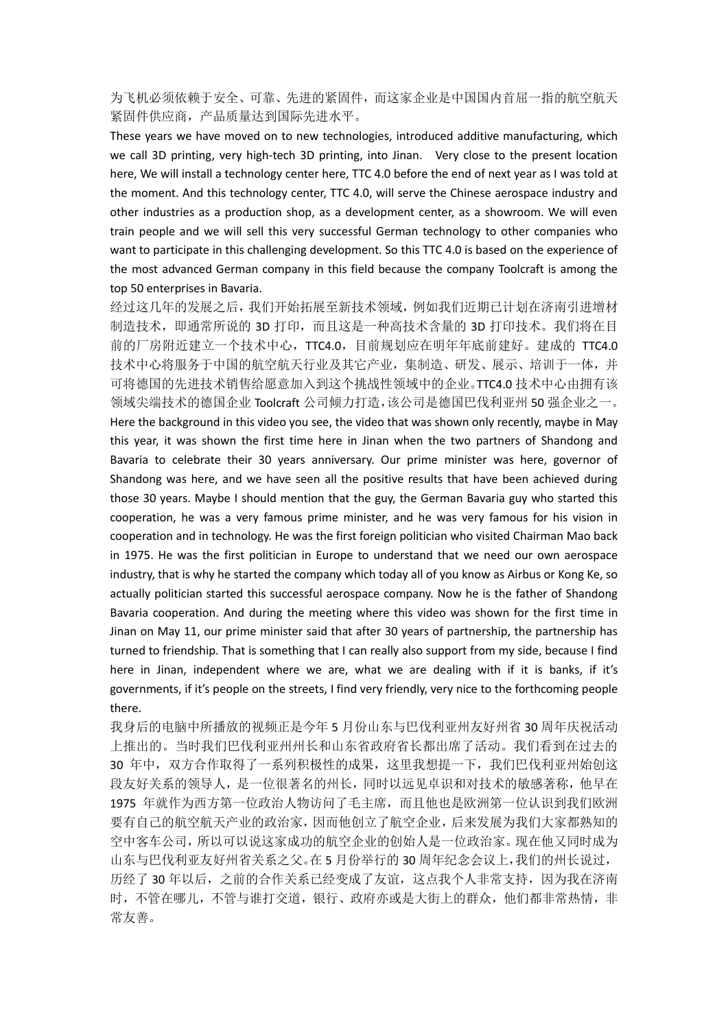为飞机必须依赖于安全、可靠、先进的紧固件,而这家企业是中国国内首屈一指的航空航天 紧固件供应商,产品质量达到国际先进水平。

These years we have moved on to new technologies, introduced additive manufacturing, which we call 3D printing, very high-tech 3D printing, into Jinan. Very close to the present location here, We will install a technology center here, TTC 4.0 before the end of next year as I was told at the moment. And this technology center, TTC 4.0, will serve the Chinese aerospace industry and other industries as a production shop, as a development center, as a showroom. We will even train people and we will sell this very successful German technology to other companies who want to participate in this challenging development. So this TTC 4.0 is based on the experience of the most advanced German company in this field because the company Toolcraft is among the top 50 enterprises in Bavaria.

经过这几年的发展之后,我们开始拓展至新技术领域,例如我们近期已计划在济南引进增材 制造技术, 即通常所说的 3D 打印, 而且这是一种高技术含量的 3D 打印技术。我们将在目 前的厂房附近建立一个技术中心,TTC4.0,目前规划应在明年年底前建好。建成的 TTC4.0 技术中心将服务于中国的航空航天行业及其它产业,集制造、研发、展示、培训于一体,并 可将德国的先进技术销售给愿意加入到这个挑战性领域中的企业。TTC4.0 技术中心由拥有该 领域尖端技术的德国企业 Toolcraft 公司倾力打造,该公司是德国巴伐利亚州 50 强企业之一。 Here the background in this video you see, the video that was shown only recently, maybe in May this year, it was shown the first time here in Jinan when the two partners of Shandong and Bavaria to celebrate their 30 years anniversary. Our prime minister was here, governor of Shandong was here, and we have seen all the positive results that have been achieved during those 30 years. Maybe I should mention that the guy, the German Bavaria guy who started this cooperation, he was a very famous prime minister, and he was very famous for his vision in cooperation and in technology. He was the first foreign politician who visited Chairman Mao back in 1975. He was the first politician in Europe to understand that we need our own aerospace industry, that is why he started the company which today all of you know as Airbus or Kong Ke, so actually politician started this successful aerospace company. Now he is the father of Shandong Bavaria cooperation. And during the meeting where this video was shown for the first time in Jinan on May 11, our prime minister said that after 30 years of partnership, the partnership has turned to friendship. That is something that I can really also support from my side, because I find here in Jinan, independent where we are, what we are dealing with if it is banks, if it's governments, if it's people on the streets, I find very friendly, very nice to the forthcoming people there.

我身后的电脑中所播放的视频正是今年 5 月份山东与巴伐利亚州友好州省 30 周年庆祝活动 上推出的。当时我们巴伐利亚州州长和山东省政府省长都出席了活动。我们看到在过去的 30 年中,双方合作取得了一系列积极性的成果,这里我想提一下,我们巴伐利亚州始创这 段友好关系的领导人,是一位很著名的州长,同时以远见卓识和对技术的敏感著称,他早在 1975 年就作为西方第一位政治人物访问了毛主席,而且他也是欧洲第一位认识到我们欧洲 要有自己的航空航天产业的政治家,因而他创立了航空企业,后来发展为我们大家都熟知的 空中客车公司,所以可以说这家成功的航空企业的创始人是一位政治家。现在他又同时成为 山东与巴伐利亚友好州省关系之父。在 5 月份举行的 30 周年纪念会议上,我们的州长说过, 历经了 30 年以后,之前的合作关系已经变成了友谊,这点我个人非常支持,因为我在济南 时,不管在哪儿,不管与谁打交道,银行、政府亦或是大街上的群众,他们都非常热情,非 常友善。